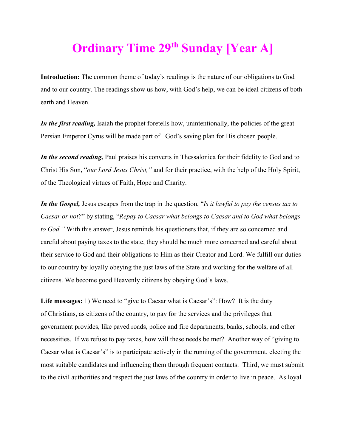## **Ordinary Time 29th Sunday [Year A]**

**Introduction:** The common theme of today's readings is the nature of our obligations to God and to our country. The readings show us how, with God's help, we can be ideal citizens of both earth and Heaven.

*In the first reading*, Isaiah the prophet fore tells how, unintentionally, the policies of the great Persian Emperor Cyrus will be made part of God's saving plan for His chosen people.

*In the second reading,* Paul praises his converts in Thessalonica for their fidelity to God and to Christ His Son, "*our Lord Jesus Christ,"* and for their practice, with the help of the Holy Spirit, of the Theological virtues of Faith, Hope and Charity.

*In the Gospel,* Jesus escapes from the trap in the question, "*Is it lawful to pay the census tax to Caesar or not?*" by stating, "*Repay to Caesar what belongs to Caesar and to God what belongs to God."* With this answer, Jesus reminds his questioners that, if they are so concerned and careful about paying taxes to the state, they should be much more concerned and careful about their service to God and their obligations to Him as their Creator and Lord. We fulfill our duties to our country by loyally obeying the just laws of the State and working for the welfare of all citizens. We become good Heavenly citizens by obeying God's laws.

**Life messages:** 1) We need to "give to Caesar what is Caesar's": How?It is the duty of Christians, as citizens of the country, to pay for the services and the privileges that government provides, like paved roads, police and fire departments, banks, schools, and other necessities. If we refuse to pay taxes, how will these needs be met? Another way of "giving to Caesar what is Caesar's" is to participate actively in the running of the government, electing the most suitable candidates and influencing them through frequent contacts. Third, we must submit to the civil authorities and respect the just laws of the country in order to live in peace. As loyal